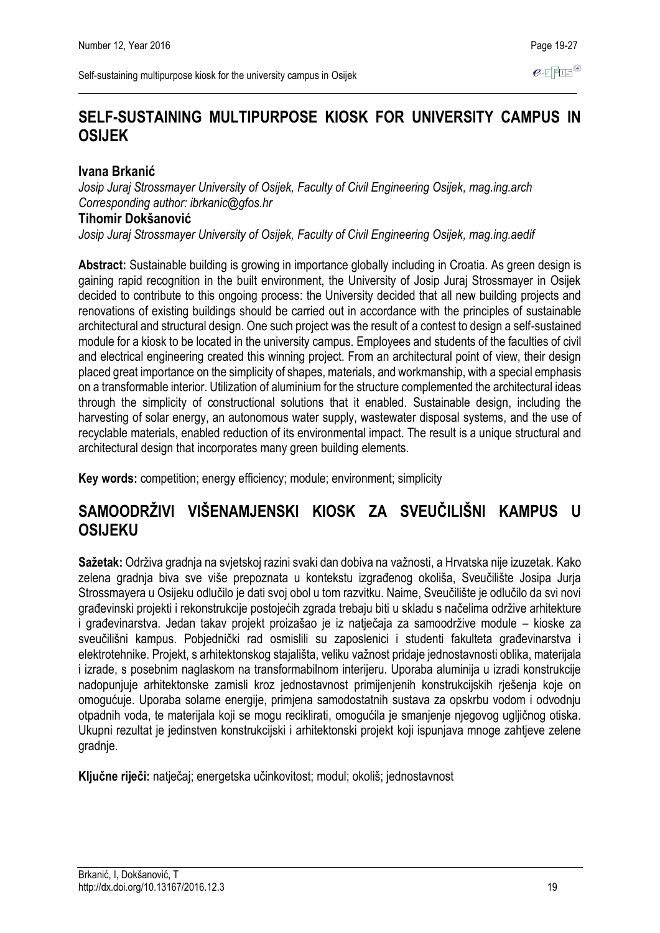$e$ -FFIF $^\circ$ 

# **SELF-SUSTAINING MULTIPURPOSE KIOSK FOR UNIVERSITY CAMPUS IN OSIJEK**

### **Ivana Brkanić**

*Josip Juraj Strossmayer University of Osijek, Faculty of Civil Engineering Osijek, mag.ing.arch Corresponding author: ibrkanic@gfos.hr*

### **Tihomir Dokšanović**

*Josip Juraj Strossmayer University of Osijek, Faculty of Civil Engineering Osijek, mag.ing.aedif*

**Abstract:** Sustainable building is growing in importance globally including in Croatia. As green design is gaining rapid recognition in the built environment, the University of Josip Juraj Strossmayer in Osijek decided to contribute to this ongoing process: the University decided that all new building projects and renovations of existing buildings should be carried out in accordance with the principles of sustainable architectural and structural design. One such project was the result of a contest to design a self-sustained module for a kiosk to be located in the university campus. Employees and students of the faculties of civil and electrical engineering created this winning project. From an architectural point of view, their design placed great importance on the simplicity of shapes, materials, and workmanship, with a special emphasis on a transformable interior. Utilization of aluminium for the structure complemented the architectural ideas through the simplicity of constructional solutions that it enabled. Sustainable design, including the harvesting of solar energy, an autonomous water supply, wastewater disposal systems, and the use of recyclable materials, enabled reduction of its environmental impact. The result is a unique structural and architectural design that incorporates many green building elements.

**Key words:** competition; energy efficiency; module; environment; simplicity

# **SAMOODRŽIVI VIŠENAMJENSKI KIOSK ZA SVEUČILIŠNI KAMPUS U OSIJEKU**

**Sažetak:** Održiva gradnja na svjetskoj razini svaki dan dobiva na važnosti, a Hrvatska nije izuzetak. Kako zelena gradnja biva sve više prepoznata u kontekstu izgrađenog okoliša, Sveučilište Josipa Jurja Strossmayera u Osijeku odlučilo je dati svoj obol u tom razvitku. Naime, Sveučilište je odlučilo da svi novi građevinski projekti i rekonstrukcije postojećih zgrada trebaju biti u skladu s načelima održive arhitekture i građevinarstva. Jedan takav projekt proizašao je iz natječaja za samoodržive module – kioske za sveučilišni kampus. Pobjednički rad osmislili su zaposlenici i studenti fakulteta građevinarstva i elektrotehnike. Projekt, s arhitektonskog stajališta, veliku važnost pridaje jednostavnosti oblika, materijala i izrade, s posebnim naglaskom na transformabilnom interijeru. Uporaba aluminija u izradi konstrukcije nadopunjuje arhitektonske zamisli kroz jednostavnost primijenjenih konstrukcijskih rješenja koje on omogućuje. Uporaba solarne energije, primjena samodostatnih sustava za opskrbu vodom i odvodnju otpadnih voda, te materijala koji se mogu reciklirati, omogućila je smanjenje njegovog ugljičnog otiska. Ukupni rezultat je jedinstven konstrukcijski i arhitektonski projekt koji ispunjava mnoge zahtjeve zelene gradnje.

**Ključne riječi:** natječaj; energetska učinkovitost; modul; okoliš; jednostavnost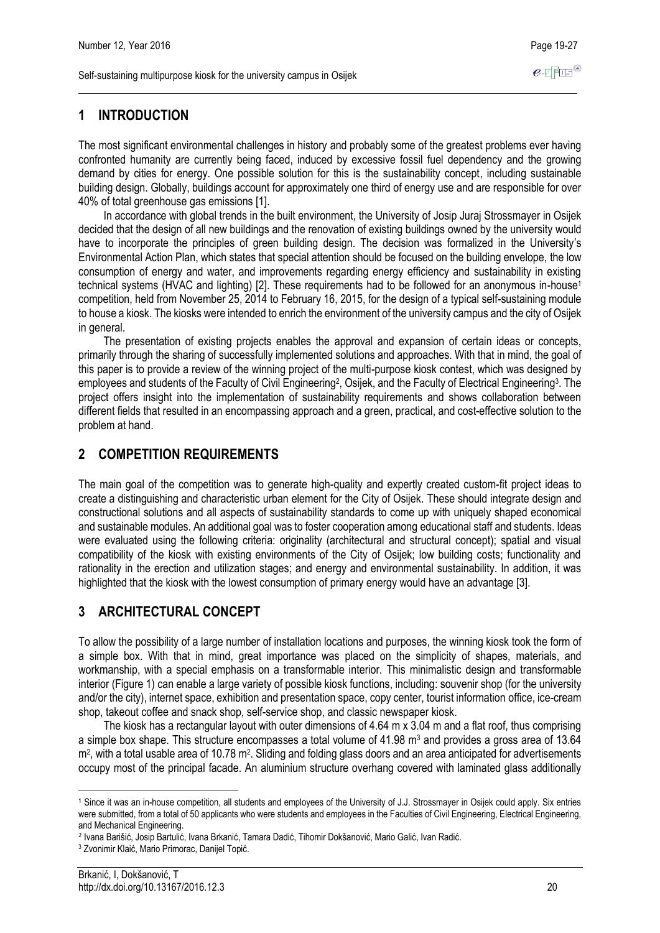### **1 INTRODUCTION**

The most significant environmental challenges in history and probably some of the greatest problems ever having confronted humanity are currently being faced, induced by excessive fossil fuel dependency and the growing demand by cities for energy. One possible solution for this is the sustainability concept, including sustainable building design. Globally, buildings account for approximately one third of energy use and are responsible for over 40% of total greenhouse gas emissions [1].

In accordance with global trends in the built environment, the University of Josip Juraj Strossmayer in Osijek decided that the design of all new buildings and the renovation of existing buildings owned by the university would have to incorporate the principles of green building design. The decision was formalized in the University's Environmental Action Plan, which states that special attention should be focused on the building envelope, the low consumption of energy and water, and improvements regarding energy efficiency and sustainability in existing technical systems (HVAC and lighting) [2]. These requirements had to be followed for an anonymous in-house<sup>1</sup> competition, held from November 25, 2014 to February 16, 2015, for the design of a typical self-sustaining module to house a kiosk. The kiosks were intended to enrich the environment of the university campus and the city of Osijek in general.

The presentation of existing projects enables the approval and expansion of certain ideas or concepts, primarily through the sharing of successfully implemented solutions and approaches. With that in mind, the goal of this paper is to provide a review of the winning project of the multi-purpose kiosk contest, which was designed by employees and students of the Faculty of Civil Engineering<sup>2</sup>, Osijek, and the Faculty of Electrical Engineering<sup>3</sup>. The project offers insight into the implementation of sustainability requirements and shows collaboration between different fields that resulted in an encompassing approach and a green, practical, and cost-effective solution to the problem at hand.

### **2 COMPETITION REQUIREMENTS**

The main goal of the competition was to generate high-quality and expertly created custom-fit project ideas to create a distinguishing and characteristic urban element for the City of Osijek. These should integrate design and constructional solutions and all aspects of sustainability standards to come up with uniquely shaped economical and sustainable modules. An additional goal was to foster cooperation among educational staff and students. Ideas were evaluated using the following criteria: originality (architectural and structural concept); spatial and visual compatibility of the kiosk with existing environments of the City of Osijek; low building costs; functionality and rationality in the erection and utilization stages; and energy and environmental sustainability. In addition, it was highlighted that the kiosk with the lowest consumption of primary energy would have an advantage [3].

# **3 ARCHITECTURAL CONCEPT**

To allow the possibility of a large number of installation locations and purposes, the winning kiosk took the form of a simple box. With that in mind, great importance was placed on the simplicity of shapes, materials, and workmanship, with a special emphasis on a transformable interior. This minimalistic design and transformable interior (Figure 1) can enable a large variety of possible kiosk functions, including: souvenir shop (for the university and/or the city), internet space, exhibition and presentation space, copy center, tourist information office, ice-cream shop, takeout coffee and snack shop, self-service shop, and classic newspaper kiosk.

The kiosk has a rectangular layout with outer dimensions of 4.64 m x 3.04 m and a flat roof, thus comprising a simple box shape. This structure encompasses a total volume of  $41.98$  m<sup>3</sup> and provides a gross area of 13.64 m<sup>2</sup>, with a total usable area of 10.78 m<sup>2</sup>. Sliding and folding glass doors and an area anticipated for advertisements occupy most of the principal facade. An aluminium structure overhang covered with laminated glass additionally

<sup>&</sup>lt;u>.</u> <sup>1</sup> Since it was an in-house competition, all students and employees of the University of J.J. Strossmayer in Osijek could apply. Six entries were submitted, from a total of 50 applicants who were students and employees in the Faculties of Civil Engineering, Electrical Engineering, and Mechanical Engineering.

<sup>2</sup> Ivana Barišić, Josip Bartulić, Ivana Brkanić, Tamara Dadić, Tihomir Dokšanović, Mario Galić, Ivan Radić.

<sup>3</sup> Zvonimir Klaić, Mario Primorac, Danijel Topić.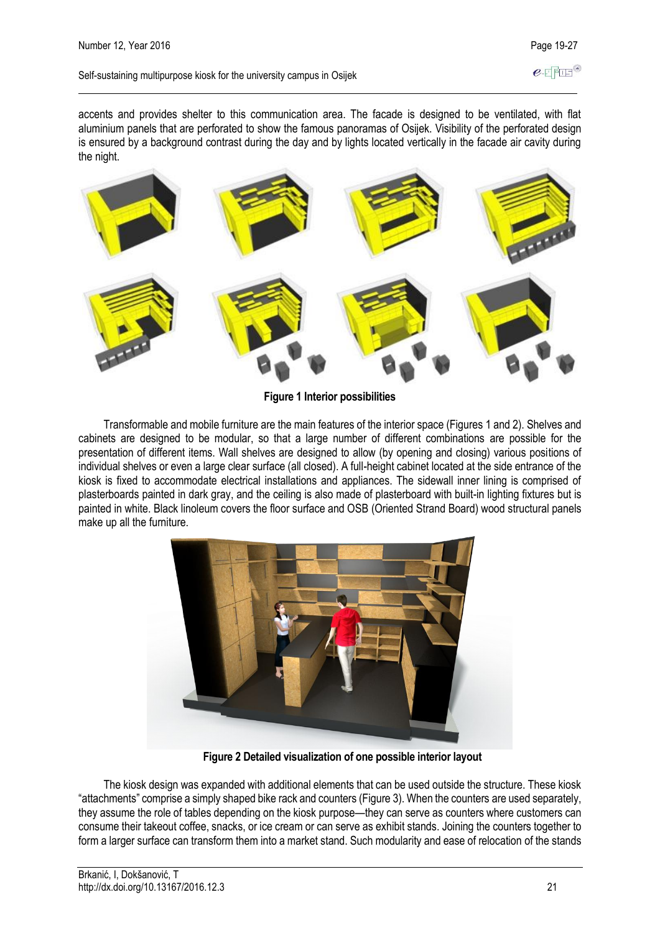#### Self-sustaining multipurpose kiosk for the university campus in Osijek

accents and provides shelter to this communication area. The facade is designed to be ventilated, with flat aluminium panels that are perforated to show the famous panoramas of Osijek. Visibility of the perforated design is ensured by a background contrast during the day and by lights located vertically in the facade air cavity during the night.



**Figure 1 Interior possibilities**

Transformable and mobile furniture are the main features of the interior space (Figures 1 and 2). Shelves and cabinets are designed to be modular, so that a large number of different combinations are possible for the presentation of different items. Wall shelves are designed to allow (by opening and closing) various positions of individual shelves or even a large clear surface (all closed). A full-height cabinet located at the side entrance of the kiosk is fixed to accommodate electrical installations and appliances. The sidewall inner lining is comprised of plasterboards painted in dark gray, and the ceiling is also made of plasterboard with built-in lighting fixtures but is painted in white. Black linoleum covers the floor surface and OSB (Oriented Strand Board) wood structural panels make up all the furniture.



**Figure 2 Detailed visualization of one possible interior layout**

The kiosk design was expanded with additional elements that can be used outside the structure. These kiosk "attachments" comprise a simply shaped bike rack and counters (Figure 3). When the counters are used separately, they assume the role of tables depending on the kiosk purpose—they can serve as counters where customers can consume their takeout coffee, snacks, or ice cream or can serve as exhibit stands. Joining the counters together to form a larger surface can transform them into a market stand. Such modularity and ease of relocation of the stands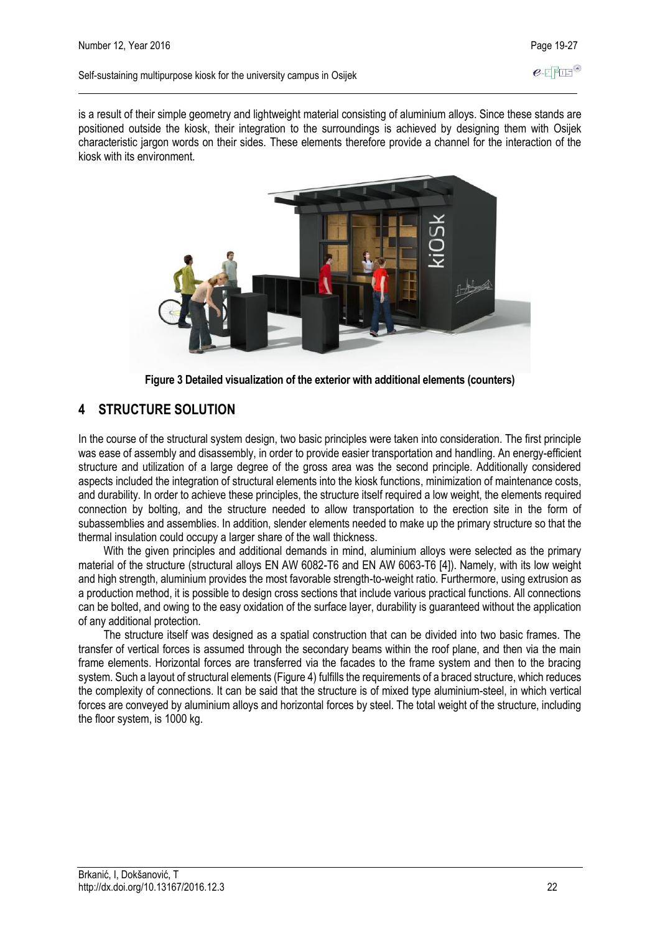Self-sustaining multipurpose kiosk for the university campus in Osijek

is a result of their simple geometry and lightweight material consisting of aluminium alloys. Since these stands are positioned outside the kiosk, their integration to the surroundings is achieved by designing them with Osijek characteristic jargon words on their sides. These elements therefore provide a channel for the interaction of the kiosk with its environment.





# **4 STRUCTURE SOLUTION**

In the course of the structural system design, two basic principles were taken into consideration. The first principle was ease of assembly and disassembly, in order to provide easier transportation and handling. An energy-efficient structure and utilization of a large degree of the gross area was the second principle. Additionally considered aspects included the integration of structural elements into the kiosk functions, minimization of maintenance costs, and durability. In order to achieve these principles, the structure itself required a low weight, the elements required connection by bolting, and the structure needed to allow transportation to the erection site in the form of subassemblies and assemblies. In addition, slender elements needed to make up the primary structure so that the thermal insulation could occupy a larger share of the wall thickness.

With the given principles and additional demands in mind, aluminium alloys were selected as the primary material of the structure (structural alloys EN AW 6082-T6 and EN AW 6063-T6 [4]). Namely, with its low weight and high strength, aluminium provides the most favorable strength-to-weight ratio. Furthermore, using extrusion as a production method, it is possible to design cross sections that include various practical functions. All connections can be bolted, and owing to the easy oxidation of the surface layer, durability is guaranteed without the application of any additional protection.

The structure itself was designed as a spatial construction that can be divided into two basic frames. The transfer of vertical forces is assumed through the secondary beams within the roof plane, and then via the main frame elements. Horizontal forces are transferred via the facades to the frame system and then to the bracing system. Such a layout of structural elements (Figure 4) fulfills the requirements of a braced structure, which reduces the complexity of connections. It can be said that the structure is of mixed type aluminium-steel, in which vertical forces are conveyed by aluminium alloys and horizontal forces by steel. The total weight of the structure, including the floor system, is 1000 kg.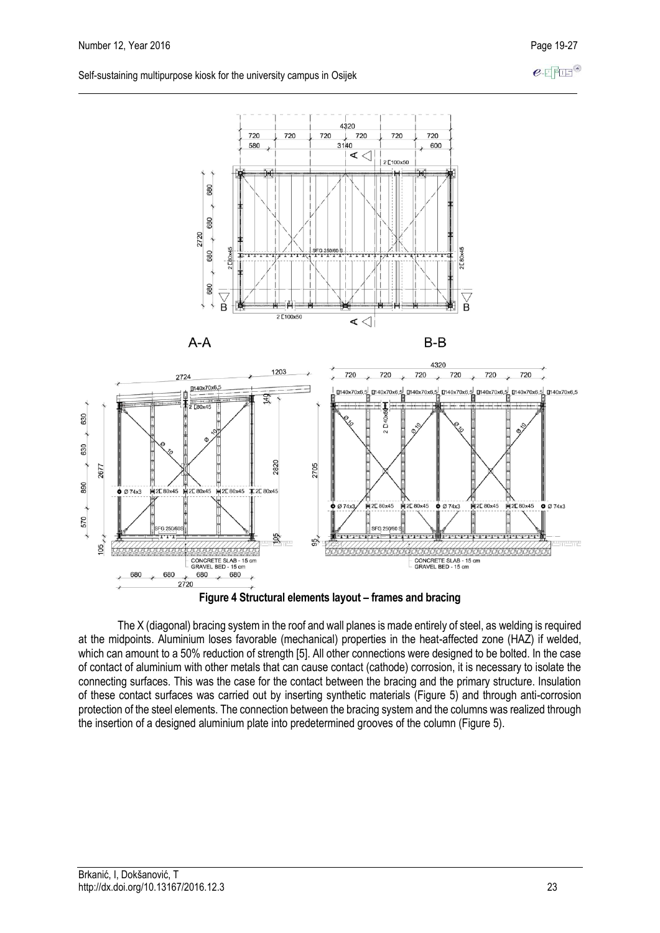$e$ -FFFF<sup>®</sup>

Self-sustaining multipurpose kiosk for the university campus in Osijek



**Figure 4 Structural elements layout – frames and bracing** 

The X (diagonal) bracing system in the roof and wall planes is made entirely of steel, as welding is required at the midpoints. Aluminium loses favorable (mechanical) properties in the heat-affected zone (HAZ) if welded, which can amount to a 50% reduction of strength [5]. All other connections were designed to be bolted. In the case of contact of aluminium with other metals that can cause contact (cathode) corrosion, it is necessary to isolate the connecting surfaces. This was the case for the contact between the bracing and the primary structure. Insulation of these contact surfaces was carried out by inserting synthetic materials (Figure 5) and through anti-corrosion protection of the steel elements. The connection between the bracing system and the columns was realized through the insertion of a designed aluminium plate into predetermined grooves of the column (Figure 5).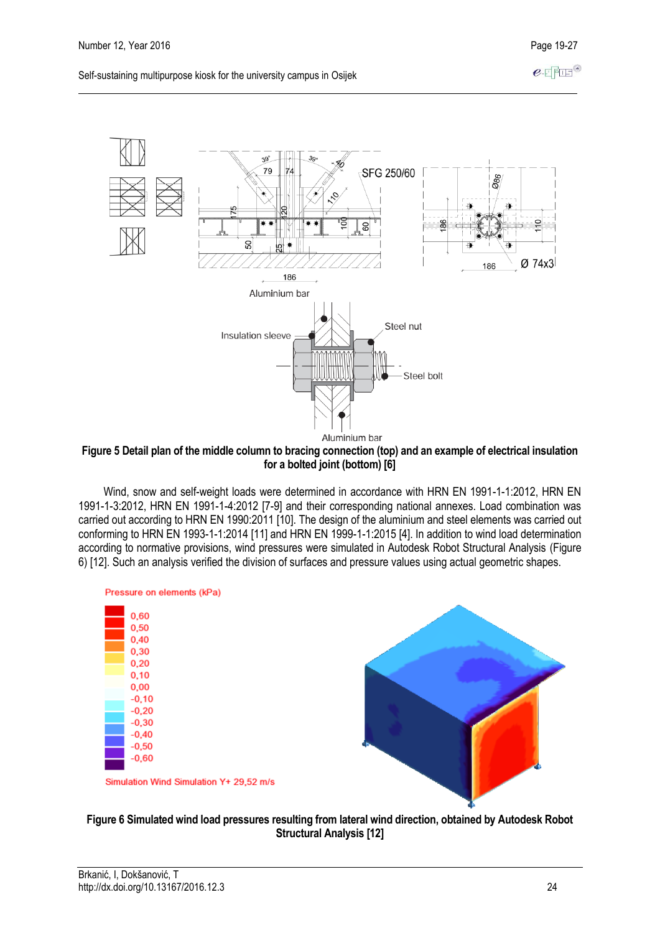$e$ -FFFF<sup>®</sup>



**Figure 5 Detail plan of the middle column to bracing connection (top) and an example of electrical insulation for a bolted joint (bottom) [6]** 

Wind, snow and self-weight loads were determined in accordance with HRN EN 1991-1-1:2012, HRN EN 1991-1-3:2012, HRN EN 1991-1-4:2012 [7-9] and their corresponding national annexes. Load combination was carried out according to HRN EN 1990:2011 [10]. The design of the aluminium and steel elements was carried out conforming to HRN EN 1993-1-1:2014 [11] and HRN EN 1999-1-1:2015 [4]. In addition to wind load determination according to normative provisions, wind pressures were simulated in Autodesk Robot Structural Analysis (Figure 6) [12]. Such an analysis verified the division of surfaces and pressure values using actual geometric shapes.



### **Figure 6 Simulated wind load pressures resulting from lateral wind direction, obtained by Autodesk Robot Structural Analysis [12]**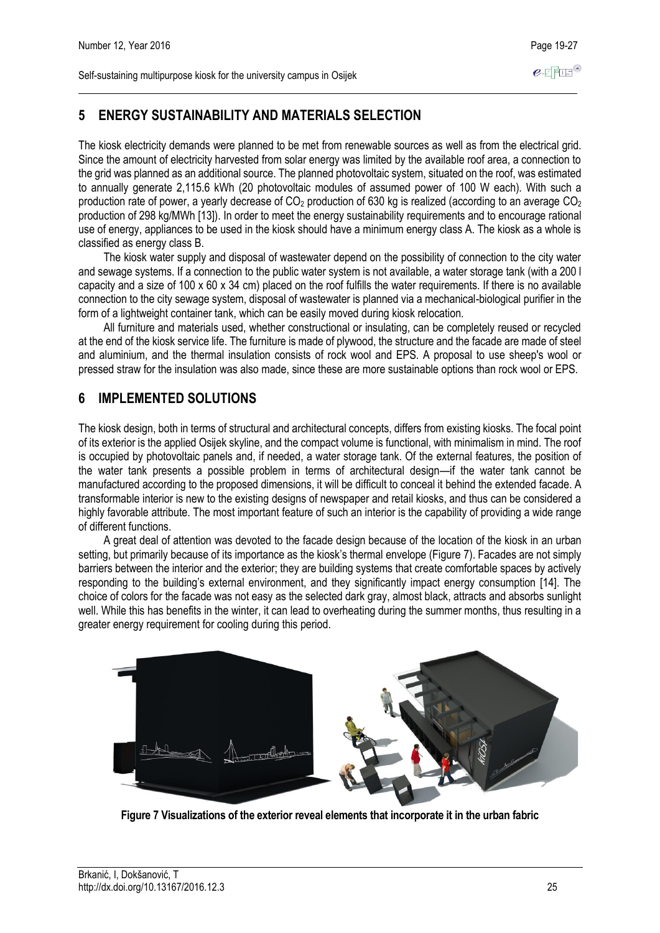$e$ -FFIE

# **5 ENERGY SUSTAINABILITY AND MATERIALS SELECTION**

The kiosk electricity demands were planned to be met from renewable sources as well as from the electrical grid. Since the amount of electricity harvested from solar energy was limited by the available roof area, a connection to the grid was planned as an additional source. The planned photovoltaic system, situated on the roof, was estimated to annually generate 2,115.6 kWh (20 photovoltaic modules of assumed power of 100 W each). With such a production rate of power, a yearly decrease of  $CO<sub>2</sub>$  production of 630 kg is realized (according to an average  $CO<sub>2</sub>$ production of 298 kg/MWh [13]). In order to meet the energy sustainability requirements and to encourage rational use of energy, appliances to be used in the kiosk should have a minimum energy class A. The kiosk as a whole is classified as energy class B.

The kiosk water supply and disposal of wastewater depend on the possibility of connection to the city water and sewage systems. If a connection to the public water system is not available, a water storage tank (with a 200 l capacity and a size of 100 x 60 x 34 cm) placed on the roof fulfills the water requirements. If there is no available connection to the city sewage system, disposal of wastewater is planned via a mechanical-biological purifier in the form of a lightweight container tank, which can be easily moved during kiosk relocation.

All furniture and materials used, whether constructional or insulating, can be completely reused or recycled at the end of the kiosk service life. The furniture is made of plywood, the structure and the facade are made of steel and aluminium, and the thermal insulation consists of rock wool and EPS. A proposal to use sheep's wool or pressed straw for the insulation was also made, since these are more sustainable options than rock wool or EPS.

# **6 IMPLEMENTED SOLUTIONS**

The kiosk design, both in terms of structural and architectural concepts, differs from existing kiosks. The focal point of its exterior is the applied Osijek skyline, and the compact volume is functional, with minimalism in mind. The roof is occupied by photovoltaic panels and, if needed, a water storage tank. Of the external features, the position of the water tank presents a possible problem in terms of architectural design—if the water tank cannot be manufactured according to the proposed dimensions, it will be difficult to conceal it behind the extended facade. A transformable interior is new to the existing designs of newspaper and retail kiosks, and thus can be considered a highly favorable attribute. The most important feature of such an interior is the capability of providing a wide range of different functions.

A great deal of attention was devoted to the facade design because of the location of the kiosk in an urban setting, but primarily because of its importance as the kiosk's thermal envelope (Figure 7). Facades are not simply barriers between the interior and the exterior; they are building systems that create comfortable spaces by actively responding to the building's external environment, and they significantly impact energy consumption [14]. The choice of colors for the facade was not easy as the selected dark gray, almost black, attracts and absorbs sunlight well. While this has benefits in the winter, it can lead to overheating during the summer months, thus resulting in a greater energy requirement for cooling during this period.



**Figure 7 Visualizations of the exterior reveal elements that incorporate it in the urban fabric**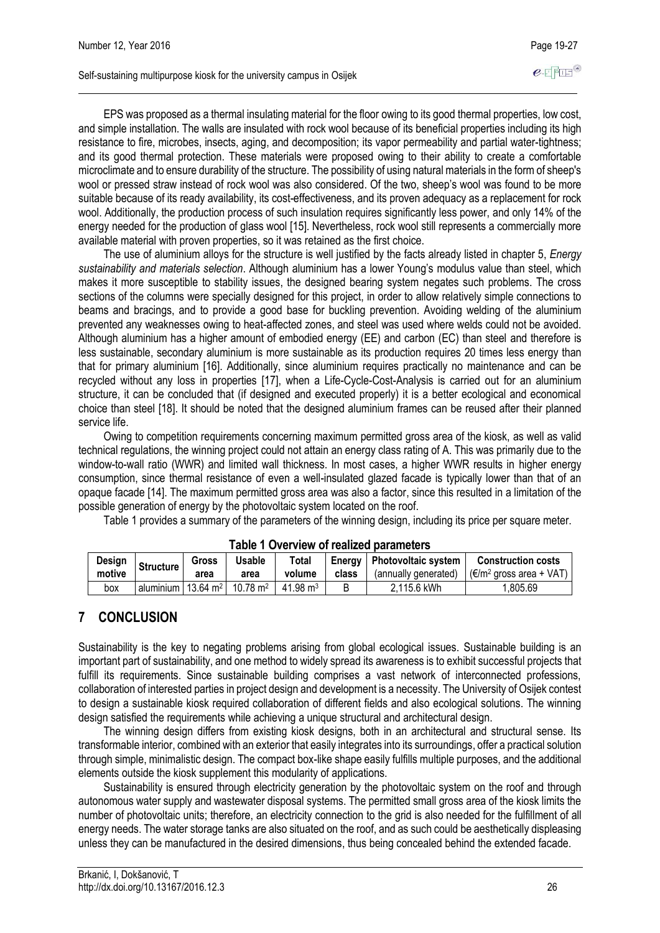EPS was proposed as a thermal insulating material for the floor owing to its good thermal properties, low cost, and simple installation. The walls are insulated with rock wool because of its beneficial properties including its high resistance to fire, microbes, insects, aging, and decomposition; its vapor permeability and partial water-tightness; and its good thermal protection. These materials were proposed owing to their ability to create a comfortable microclimate and to ensure durability of the structure. The possibility of using natural materials in the form of sheep's wool or pressed straw instead of rock wool was also considered. Of the two, sheep's wool was found to be more suitable because of its ready availability, its cost-effectiveness, and its proven adequacy as a replacement for rock wool. Additionally, the production process of such insulation requires significantly less power, and only 14% of the energy needed for the production of glass wool [15]. Nevertheless, rock wool still represents a commercially more available material with proven properties, so it was retained as the first choice.

The use of aluminium alloys for the structure is well justified by the facts already listed in chapter 5, *Energy sustainability and materials selection*. Although aluminium has a lower Young's modulus value than steel, which makes it more susceptible to stability issues, the designed bearing system negates such problems. The cross sections of the columns were specially designed for this project, in order to allow relatively simple connections to beams and bracings, and to provide a good base for buckling prevention. Avoiding welding of the aluminium prevented any weaknesses owing to heat-affected zones, and steel was used where welds could not be avoided. Although aluminium has a higher amount of embodied energy (EE) and carbon (EC) than steel and therefore is less sustainable, secondary aluminium is more sustainable as its production requires 20 times less energy than that for primary aluminium [16]. Additionally, since aluminium requires practically no maintenance and can be recycled without any loss in properties [17], when a Life-Cycle-Cost-Analysis is carried out for an aluminium structure, it can be concluded that (if designed and executed properly) it is a better ecological and economical choice than steel [18]. It should be noted that the designed aluminium frames can be reused after their planned service life.

Owing to competition requirements concerning maximum permitted gross area of the kiosk, as well as valid technical regulations, the winning project could not attain an energy class rating of A. This was primarily due to the window-to-wall ratio (WWR) and limited wall thickness. In most cases, a higher WWR results in higher energy consumption, since thermal resistance of even a well-insulated glazed facade is typically lower than that of an opaque facade [14]. The maximum permitted gross area was also a factor, since this resulted in a limitation of the possible generation of energy by the photovoltaic system located on the roof.

Table 1 provides a summary of the parameters of the winning design, including its price per square meter.

| TUDIO T OTOLIJON OLIVUMLOG DURIULIOGO D |                                  |       |                     |                     |       |                              |                                                                    |
|-----------------------------------------|----------------------------------|-------|---------------------|---------------------|-------|------------------------------|--------------------------------------------------------------------|
| Design                                  | <b>Structure</b>                 | Gross | Usable              | Total               |       | Energy   Photovoltaic system | <b>Construction costs</b>                                          |
| motive                                  |                                  | area  | area                | volume              | class | (annually generated)         | $\left  \right  \left( \in \mathbb{R}^2 \right $ gross area + VAT) |
| box                                     | aluminium   13.64 m <sup>2</sup> |       | $10.78 \text{ m}^2$ | $41.98 \text{ m}^3$ | B     | 2,115.6 kWh                  | .805.69                                                            |

|  | Table 1 Overview of realized parameters |  |  |
|--|-----------------------------------------|--|--|
|--|-----------------------------------------|--|--|

### **7 CONCLUSION**

Sustainability is the key to negating problems arising from global ecological issues. Sustainable building is an important part of sustainability, and one method to widely spread its awareness is to exhibit successful projects that fulfill its requirements. Since sustainable building comprises a vast network of interconnected professions, collaboration of interested parties in project design and development is a necessity. The University of Osijek contest to design a sustainable kiosk required collaboration of different fields and also ecological solutions. The winning design satisfied the requirements while achieving a unique structural and architectural design.

The winning design differs from existing kiosk designs, both in an architectural and structural sense. Its transformable interior, combined with an exterior that easily integrates into its surroundings, offer a practical solution through simple, minimalistic design. The compact box-like shape easily fulfills multiple purposes, and the additional elements outside the kiosk supplement this modularity of applications.

Sustainability is ensured through electricity generation by the photovoltaic system on the roof and through autonomous water supply and wastewater disposal systems. The permitted small gross area of the kiosk limits the number of photovoltaic units; therefore, an electricity connection to the grid is also needed for the fulfillment of all energy needs. The water storage tanks are also situated on the roof, and as such could be aesthetically displeasing unless they can be manufactured in the desired dimensions, thus being concealed behind the extended facade.